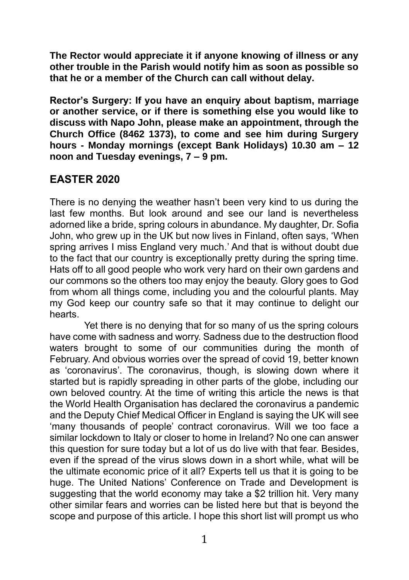**The Rector would appreciate it if anyone knowing of illness or any other trouble in the Parish would notify him as soon as possible so that he or a member of the Church can call without delay.**

**Rector's Surgery: If you have an enquiry about baptism, marriage or another service, or if there is something else you would like to discuss with Napo John, please make an appointment, through the Church Office (8462 1373), to come and see him during Surgery hours - Monday mornings (except Bank Holidays) 10.30 am – 12 noon and Tuesday evenings, 7 – 9 pm.**

## **EASTER 2020**

There is no denying the weather hasn't been very kind to us during the last few months. But look around and see our land is nevertheless adorned like a bride, spring colours in abundance. My daughter, Dr. Sofia John, who grew up in the UK but now lives in Finland, often says, 'When spring arrives I miss England very much.' And that is without doubt due to the fact that our country is exceptionally pretty during the spring time. Hats off to all good people who work very hard on their own gardens and our commons so the others too may enjoy the beauty. Glory goes to God from whom all things come, including you and the colourful plants. May my God keep our country safe so that it may continue to delight our hearts.

Yet there is no denying that for so many of us the spring colours have come with sadness and worry. Sadness due to the destruction flood waters brought to some of our communities during the month of February. And obvious worries over the spread of covid 19, better known as 'coronavirus'. The coronavirus, though, is slowing down where it started but is rapidly spreading in other parts of the globe, including our own beloved country. At the time of writing this article the news is that the World Health Organisation has declared the coronavirus a pandemic and the Deputy Chief Medical Officer in England is saying the UK will see 'many thousands of people' contract coronavirus. Will we too face a similar lockdown to Italy or closer to home in Ireland? No one can answer this question for sure today but a lot of us do live with that fear. Besides, even if the spread of the virus slows down in a short while, what will be the ultimate economic price of it all? Experts tell us that it is going to be huge. The United Nations' Conference on Trade and Development is suggesting that the world economy may take a \$2 trillion hit. Very many other similar fears and worries can be listed here but that is beyond the scope and purpose of this article. I hope this short list will prompt us who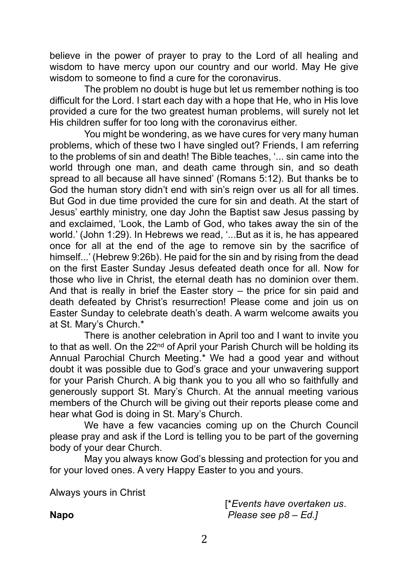believe in the power of prayer to pray to the Lord of all healing and wisdom to have mercy upon our country and our world. May He give wisdom to someone to find a cure for the coronavirus.

The problem no doubt is huge but let us remember nothing is too difficult for the Lord. I start each day with a hope that He, who in His love provided a cure for the two greatest human problems, will surely not let His children suffer for too long with the coronavirus either.

You might be wondering, as we have cures for very many human problems, which of these two I have singled out? Friends, I am referring to the problems of sin and death! The Bible teaches, '... sin came into the world through one man, and death came through sin, and so death spread to all because all have sinned' (Romans 5:12). But thanks be to God the human story didn't end with sin's reign over us all for all times. But God in due time provided the cure for sin and death. At the start of Jesus' earthly ministry, one day John the Baptist saw Jesus passing by and exclaimed, 'Look, the Lamb of God, who takes away the sin of the world.' (John 1:29). In Hebrews we read, '...But as it is, he has appeared once for all at the end of the age to remove sin by the sacrifice of himself...' (Hebrew 9:26b). He paid for the sin and by rising from the dead on the first Easter Sunday Jesus defeated death once for all. Now for those who live in Christ, the eternal death has no dominion over them. And that is really in brief the Easter story – the price for sin paid and death defeated by Christ's resurrection! Please come and join us on Easter Sunday to celebrate death's death. A warm welcome awaits you at St. Mary's Church.\*

There is another celebration in April too and I want to invite you to that as well. On the 22<sup>nd</sup> of April your Parish Church will be holding its Annual Parochial Church Meeting.\* We had a good year and without doubt it was possible due to God's grace and your unwavering support for your Parish Church. A big thank you to you all who so faithfully and generously support St. Mary's Church. At the annual meeting various members of the Church will be giving out their reports please come and hear what God is doing in St. Mary's Church.

We have a few vacancies coming up on the Church Council please pray and ask if the Lord is telling you to be part of the governing body of your dear Church.

May you always know God's blessing and protection for you and for your loved ones. A very Happy Easter to you and yours.

Always yours in Christ

[\**Events have overtaken us*. **Napo** *Please see p8 – Ed.]*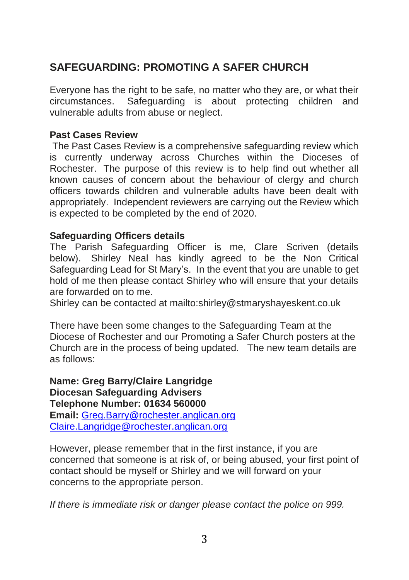# **SAFEGUARDING: PROMOTING A SAFER CHURCH**

Everyone has the right to be safe, no matter who they are, or what their circumstances. Safeguarding is about protecting children and vulnerable adults from abuse or neglect.

#### **Past Cases Review**

The Past Cases Review is a comprehensive safeguarding review which is currently underway across Churches within the Dioceses of Rochester. The purpose of this review is to help find out whether all known causes of concern about the behaviour of clergy and church officers towards children and vulnerable adults have been dealt with appropriately. Independent reviewers are carrying out the Review which is expected to be completed by the end of 2020.

#### **Safeguarding Officers details**

The Parish Safeguarding Officer is me, Clare Scriven (details below). Shirley Neal has kindly agreed to be the Non Critical Safeguarding Lead for St Mary's. In the event that you are unable to get hold of me then please contact Shirley who will ensure that your details are forwarded on to me.

Shirley can be contacted at mailto:shirley@stmaryshayeskent.co.uk

There have been some changes to the Safeguarding Team at the Diocese of Rochester and our Promoting a Safer Church posters at the Church are in the process of being updated. The new team details are as follows:

**Name: Greg Barry/Claire Langridge Diocesan Safeguarding Advisers Telephone Number: 01634 560000 Email:** [Greg.Barry@rochester.anglican.org](mailto:Greg.Barry@rochester.anglican.org) [Claire.Langridge@rochester.anglican.org](mailto:Claire.Langridge@rochester.anglican.org)

However, please remember that in the first instance, if you are concerned that someone is at risk of, or being abused, your first point of contact should be myself or Shirley and we will forward on your concerns to the appropriate person.

*If there is immediate risk or danger please contact the police on 999.*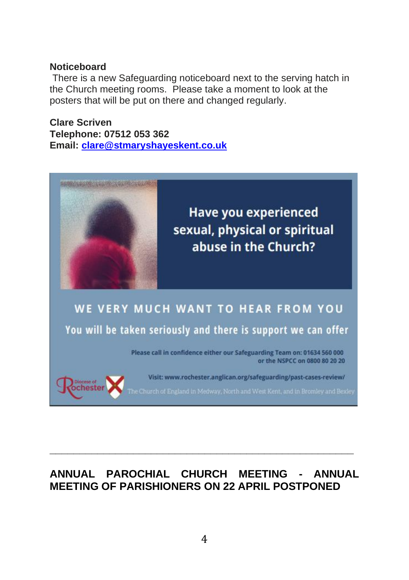#### **Noticeboard**

There is a new Safeguarding noticeboard next to the serving hatch in the Church meeting rooms. Please take a moment to look at the posters that will be put on there and changed regularly.

**Clare Scriven Telephone: 07512 053 362 Email: [clare@stmaryshayeskent.co.uk](mailto:clare@stmaryshayeskent.co.uk)**



# **ANNUAL PAROCHIAL CHURCH MEETING - ANNUAL MEETING OF PARISHIONERS ON 22 APRIL POSTPONED**

**\_\_\_\_\_\_\_\_\_\_\_\_\_\_\_\_\_\_\_\_\_\_\_\_\_\_\_\_\_\_\_\_\_\_\_\_\_\_\_\_\_\_\_\_\_\_\_\_\_\_\_**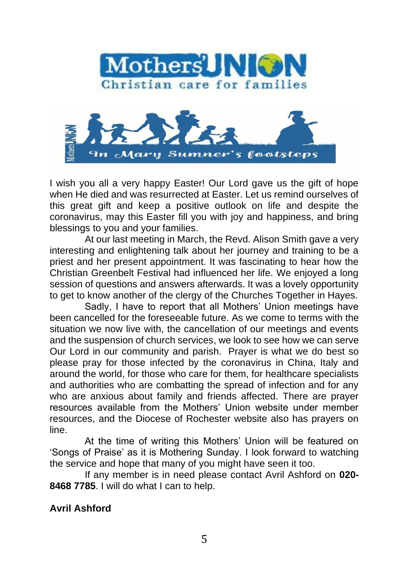



I wish you all a very happy Easter! Our Lord gave us the gift of hope when He died and was resurrected at Easter. Let us remind ourselves of this great gift and keep a positive outlook on life and despite the coronavirus, may this Easter fill you with joy and happiness, and bring blessings to you and your families.

At our last meeting in March, the Revd. Alison Smith gave a very interesting and enlightening talk about her journey and training to be a priest and her present appointment. It was fascinating to hear how the Christian Greenbelt Festival had influenced her life. We enjoyed a long session of questions and answers afterwards. It was a lovely opportunity to get to know another of the clergy of the Churches Together in Hayes.

Sadly, I have to report that all Mothers' Union meetings have been cancelled for the foreseeable future. As we come to terms with the situation we now live with, the cancellation of our meetings and events and the suspension of church services, we look to see how we can serve Our Lord in our community and parish. Prayer is what we do best so please pray for those infected by the coronavirus in China, Italy and around the world, for those who care for them, for healthcare specialists and authorities who are combatting the spread of infection and for any who are anxious about family and friends affected. There are prayer resources available from the Mothers' Union website under member resources, and the Diocese of Rochester website also has prayers on line.

At the time of writing this Mothers' Union will be featured on 'Songs of Praise' as it is Mothering Sunday. I look forward to watching the service and hope that many of you might have seen it too.

If any member is in need please contact Avril Ashford on **020- 8468 7785**. I will do what I can to help.

### **Avril Ashford**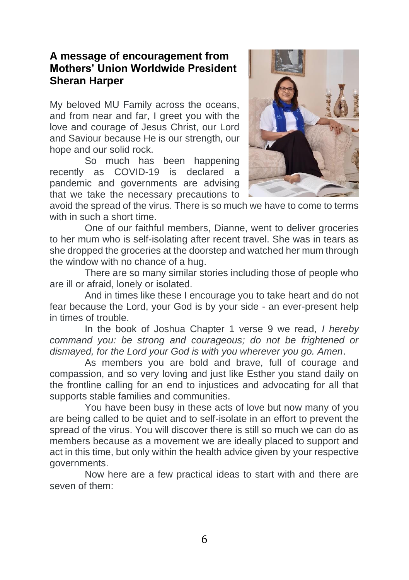### **A message of encouragement from Mothers' Union Worldwide President Sheran Harper**

My beloved MU Family across the oceans, and from near and far. I greet you with the love and courage of Jesus Christ, our Lord and Saviour because He is our strength, our hope and our solid rock.

So much has been happening recently as COVID-19 is declared a pandemic and governments are advising that we take the necessary precautions to



avoid the spread of the virus. There is so much we have to come to terms with in such a short time.

One of our faithful members, Dianne, went to deliver groceries to her mum who is self-isolating after recent travel. She was in tears as she dropped the groceries at the doorstep and watched her mum through the window with no chance of a hug.

There are so many similar stories including those of people who are ill or afraid, lonely or isolated.

And in times like these I encourage you to take heart and do not fear because the Lord, your God is by your side - an ever-present help in times of trouble.

In the book of Joshua Chapter 1 verse 9 we read, *I hereby command you: be strong and courageous; do not be frightened or dismayed, for the Lord your God is with you wherever you go. Amen*.

As members you are bold and brave, full of courage and compassion, and so very loving and just like Esther you stand daily on the frontline calling for an end to injustices and advocating for all that supports stable families and communities.

You have been busy in these acts of love but now many of you are being called to be quiet and to self-isolate in an effort to prevent the spread of the virus. You will discover there is still so much we can do as members because as a movement we are ideally placed to support and act in this time, but only within the health advice given by your respective governments.

Now here are a few practical ideas to start with and there are seven of them: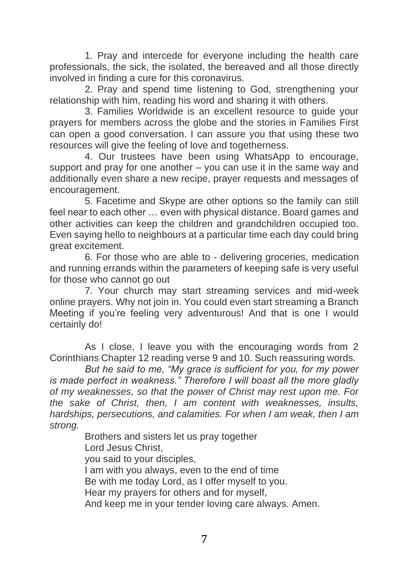1. Pray and intercede for everyone including the health care professionals, the sick, the isolated, the bereaved and all those directly involved in finding a cure for this coronavirus.

2. Pray and spend time listening to God, strengthening your relationship with him, reading his word and sharing it with others.

3. Families Worldwide is an excellent resource to guide your prayers for members across the globe and the stories in Families First can open a good conversation. I can assure you that using these two resources will give the feeling of love and togetherness.

4. Our trustees have been using WhatsApp to encourage, support and pray for one another – you can use it in the same way and additionally even share a new recipe, prayer requests and messages of encouragement.

5. Facetime and Skype are other options so the family can still feel near to each other ... even with physical distance. Board games and other activities can keep the children and grandchildren occupied too. Even saying hello to neighbours at a particular time each day could bring great excitement.

6. For those who are able to - delivering groceries, medication and running errands within the parameters of keeping safe is very useful for those who cannot go out

7. Your church may start streaming services and mid-week online prayers. Why not join in. You could even start streaming a Branch Meeting if you're feeling very adventurous! And that is one I would certainly do!

As I close, I leave you with the encouraging words from 2 Corinthians Chapter 12 reading verse 9 and 10. Such reassuring words.

*But he said to me, "My grace is sufficient for you, for my power is made perfect in weakness." Therefore I will boast all the more gladly of my weaknesses, so that the power of Christ may rest upon me. For the sake of Christ, then, I am content with weaknesses, insults, hardships, persecutions, and calamities. For when I am weak, then I am strong.*

> Brothers and sisters let us pray together Lord Jesus Christ, you said to your disciples, I am with you always, even to the end of time Be with me today Lord, as I offer myself to you. Hear my prayers for others and for myself, And keep me in your tender loving care always. Amen.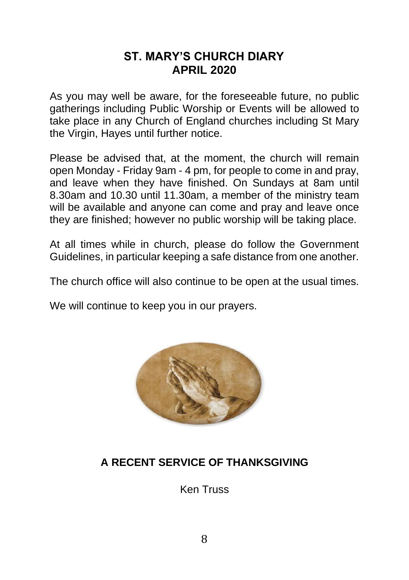## **ST. MARY'S CHURCH DIARY APRIL 2020**

As you may well be aware, for the foreseeable future, no public gatherings including Public Worship or Events will be allowed to take place in any Church of England churches including St Mary the Virgin, Hayes until further notice.

Please be advised that, at the moment, the church will remain open Monday - Friday 9am - 4 pm, for people to come in and pray, and leave when they have finished. On Sundays at 8am until 8.30am and 10.30 until 11.30am, a member of the ministry team will be available and anyone can come and pray and leave once they are finished; however no public worship will be taking place.

At all times while in church, please do follow the Government Guidelines, in particular keeping a safe distance from one another.

The church office will also continue to be open at the usual times.

We will continue to keep you in our prayers.



# **A RECENT SERVICE OF THANKSGIVING**

Ken Truss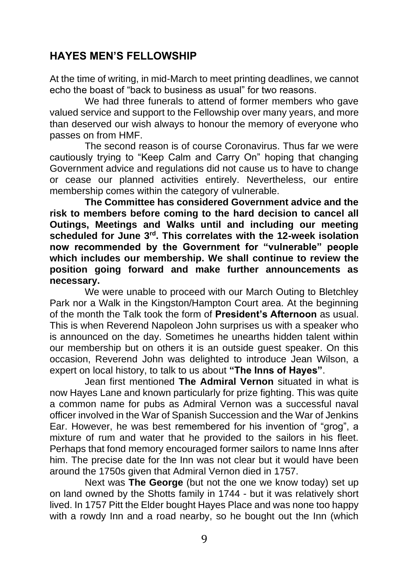## **HAYES MEN'S FELLOWSHIP**

At the time of writing, in mid-March to meet printing deadlines, we cannot echo the boast of "back to business as usual" for two reasons.

We had three funerals to attend of former members who gave valued service and support to the Fellowship over many years, and more than deserved our wish always to honour the memory of everyone who passes on from HMF.

The second reason is of course Coronavirus. Thus far we were cautiously trying to "Keep Calm and Carry On" hoping that changing Government advice and regulations did not cause us to have to change or cease our planned activities entirely. Nevertheless, our entire membership comes within the category of vulnerable.

**The Committee has considered Government advice and the risk to members before coming to the hard decision to cancel all Outings, Meetings and Walks until and including our meeting scheduled for June 3rd. This correlates with the 12-week isolation now recommended by the Government for "vulnerable" people which includes our membership. We shall continue to review the position going forward and make further announcements as necessary.**

We were unable to proceed with our March Outing to Bletchley Park nor a Walk in the Kingston/Hampton Court area. At the beginning of the month the Talk took the form of **President's Afternoon** as usual. This is when Reverend Napoleon John surprises us with a speaker who is announced on the day. Sometimes he unearths hidden talent within our membership but on others it is an outside guest speaker. On this occasion, Reverend John was delighted to introduce Jean Wilson, a expert on local history, to talk to us about **"The Inns of Hayes"**.

Jean first mentioned **The Admiral Vernon** situated in what is now Hayes Lane and known particularly for prize fighting. This was quite a common name for pubs as Admiral Vernon was a successful naval officer involved in the War of Spanish Succession and the War of Jenkins Ear. However, he was best remembered for his invention of "grog", a mixture of rum and water that he provided to the sailors in his fleet. Perhaps that fond memory encouraged former sailors to name Inns after him. The precise date for the Inn was not clear but it would have been around the 1750s given that Admiral Vernon died in 1757.

Next was **The George** (but not the one we know today) set up on land owned by the Shotts family in 1744 - but it was relatively short lived. In 1757 Pitt the Elder bought Hayes Place and was none too happy with a rowdy Inn and a road nearby, so he bought out the Inn (which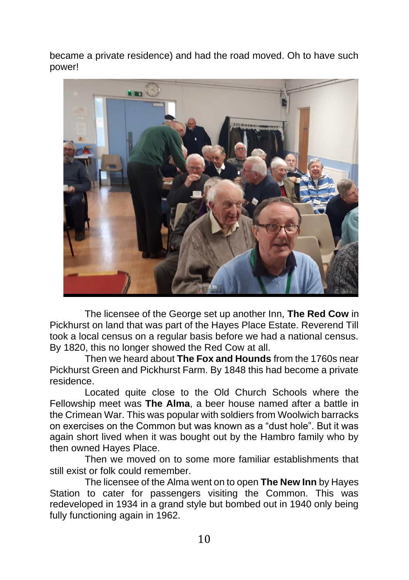became a private residence) and had the road moved. Oh to have such power!



The licensee of the George set up another Inn, **The Red Cow** in Pickhurst on land that was part of the Hayes Place Estate. Reverend Till took a local census on a regular basis before we had a national census. By 1820, this no longer showed the Red Cow at all.

Then we heard about **The Fox and Hounds** from the 1760s near Pickhurst Green and Pickhurst Farm. By 1848 this had become a private residence.

Located quite close to the Old Church Schools where the Fellowship meet was **The Alma**, a beer house named after a battle in the Crimean War. This was popular with soldiers from Woolwich barracks on exercises on the Common but was known as a "dust hole". But it was again short lived when it was bought out by the Hambro family who by then owned Hayes Place.

Then we moved on to some more familiar establishments that still exist or folk could remember.

The licensee of the Alma went on to open **The New Inn** by Hayes Station to cater for passengers visiting the Common. This was redeveloped in 1934 in a grand style but bombed out in 1940 only being fully functioning again in 1962.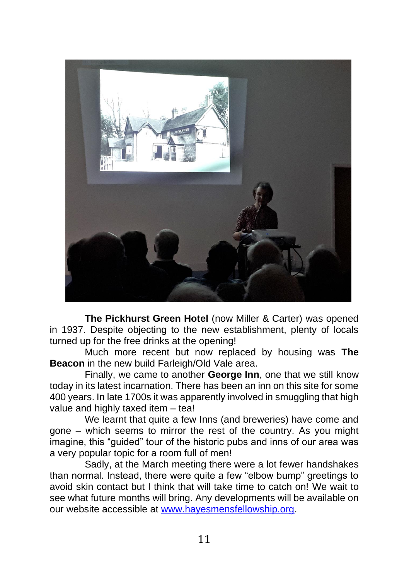

**The Pickhurst Green Hotel** (now Miller & Carter) was opened in 1937. Despite objecting to the new establishment, plenty of locals turned up for the free drinks at the opening!

Much more recent but now replaced by housing was **The Beacon** in the new build Farleigh/Old Vale area.

Finally, we came to another **George Inn**, one that we still know today in its latest incarnation. There has been an inn on this site for some 400 years. In late 1700s it was apparently involved in smuggling that high value and highly taxed item – tea!

We learnt that quite a few Inns (and breweries) have come and gone – which seems to mirror the rest of the country. As you might imagine, this "guided" tour of the historic pubs and inns of our area was a very popular topic for a room full of men!

Sadly, at the March meeting there were a lot fewer handshakes than normal. Instead, there were quite a few "elbow bump" greetings to avoid skin contact but I think that will take time to catch on! We wait to see what future months will bring. Any developments will be available on our website accessible at [www.hayesmensfellowship.org.](http://www.hayesmensfellowship.org/)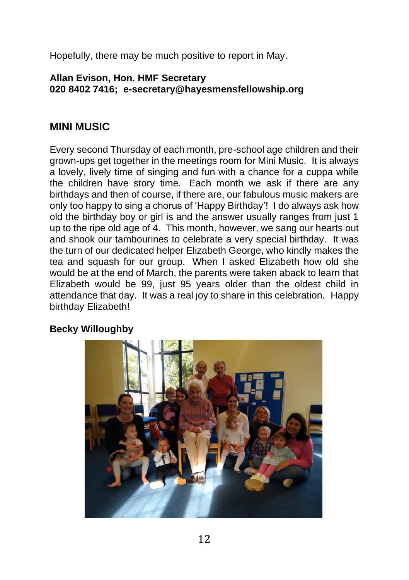Hopefully, there may be much positive to report in May.

#### **Allan Evison, Hon. HMF Secretary 020 8402 7416; e-secretary@hayesmensfellowship.org**

### **MINI MUSIC**

Every second Thursday of each month, pre-school age children and their grown-ups get together in the meetings room for Mini Music. It is always a lovely, lively time of singing and fun with a chance for a cuppa while the children have story time. Each month we ask if there are any birthdays and then of course, if there are, our fabulous music makers are only too happy to sing a chorus of 'Happy Birthday'! I do always ask how old the birthday boy or girl is and the answer usually ranges from just 1 up to the ripe old age of 4. This month, however, we sang our hearts out and shook our tambourines to celebrate a very special birthday. It was the turn of our dedicated helper Elizabeth George, who kindly makes the tea and squash for our group. When I asked Elizabeth how old she would be at the end of March, the parents were taken aback to learn that Elizabeth would be 99, just 95 years older than the oldest child in attendance that day. It was a real joy to share in this celebration. Happy birthday Elizabeth!

### **Becky Willoughby**

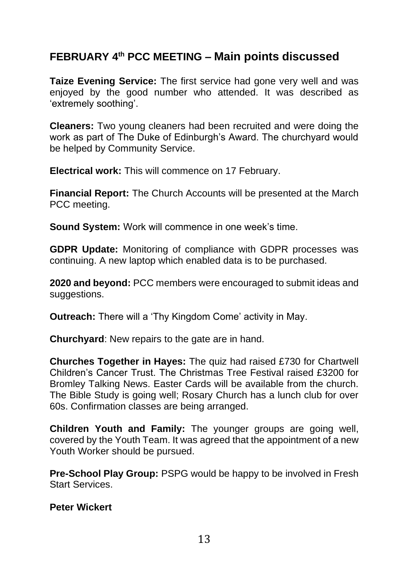# **FEBRUARY 4 th PCC MEETING – Main points discussed**

**Taize Evening Service:** The first service had gone very well and was enjoyed by the good number who attended. It was described as 'extremely soothing'.

**Cleaners:** Two young cleaners had been recruited and were doing the work as part of The Duke of Edinburgh's Award. The churchyard would be helped by Community Service.

**Electrical work:** This will commence on 17 February.

**Financial Report:** The Church Accounts will be presented at the March PCC meeting.

**Sound System:** Work will commence in one week's time.

**GDPR Update:** Monitoring of compliance with GDPR processes was continuing. A new laptop which enabled data is to be purchased.

**2020 and beyond:** PCC members were encouraged to submit ideas and suggestions.

**Outreach:** There will a 'Thy Kingdom Come' activity in May.

**Churchyard**: New repairs to the gate are in hand.

**Churches Together in Hayes:** The quiz had raised £730 for Chartwell Children's Cancer Trust. The Christmas Tree Festival raised £3200 for Bromley Talking News. Easter Cards will be available from the church. The Bible Study is going well; Rosary Church has a lunch club for over 60s. Confirmation classes are being arranged.

**Children Youth and Family:** The younger groups are going well, covered by the Youth Team. It was agreed that the appointment of a new Youth Worker should be pursued.

**Pre-School Play Group:** PSPG would be happy to be involved in Fresh Start Services.

**Peter Wickert**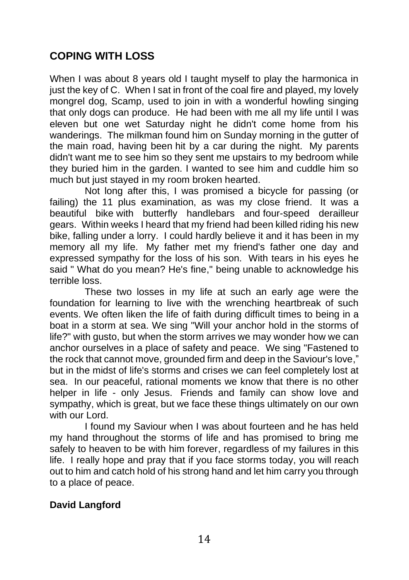## **COPING WITH LOSS**

When I was about 8 years old I taught myself to play the harmonica in just the key of C. When I sat in front of the coal fire and played, my lovely mongrel dog, Scamp, used to join in with a wonderful howling singing that only dogs can produce. He had been with me all my life until I was eleven but one wet Saturday night he didn't come home from his wanderings. The milkman found him on Sunday morning in the gutter of the main road, having been hit by a car during the night. My parents didn't want me to see him so they sent me upstairs to my bedroom while they buried him in the garden. I wanted to see him and cuddle him so much but just stayed in my room broken hearted.

Not long after this, I was promised a bicycle for passing (or failing) the 11 plus examination, as was my close friend. It was a beautiful bike with butterfly handlebars and four-speed derailleur gears. Within weeks I heard that my friend had been killed riding his new bike, falling under a lorry. I could hardly believe it and it has been in my memory all my life. My father met my friend's father one day and expressed sympathy for the loss of his son. With tears in his eyes he said " What do you mean? He's fine," being unable to acknowledge his terrible loss.

These two losses in my life at such an early age were the foundation for learning to live with the wrenching heartbreak of such events. We often liken the life of faith during difficult times to being in a boat in a storm at sea. We sing "Will your anchor hold in the storms of life?" with gusto, but when the storm arrives we may wonder how we can anchor ourselves in a place of safety and peace. We sing "Fastened to the rock that cannot move, grounded firm and deep in the Saviour's love," but in the midst of life's storms and crises we can feel completely lost at sea. In our peaceful, rational moments we know that there is no other helper in life - only Jesus. Friends and family can show love and sympathy, which is great, but we face these things ultimately on our own with our Lord.

I found my Saviour when I was about fourteen and he has held my hand throughout the storms of life and has promised to bring me safely to heaven to be with him forever, regardless of my failures in this life. I really hope and pray that if you face storms today, you will reach out to him and catch hold of his strong hand and let him carry you through to a place of peace.

### **David Langford**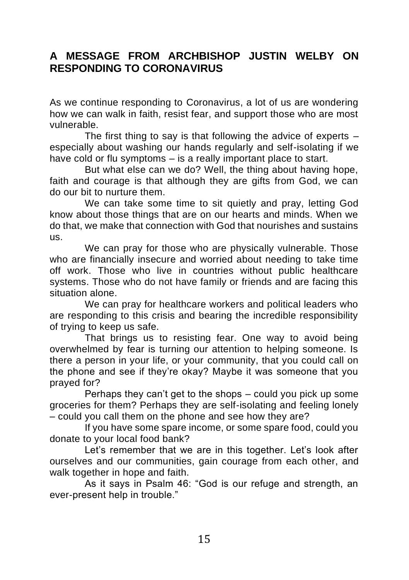### **A MESSAGE FROM ARCHBISHOP JUSTIN WELBY ON RESPONDING TO CORONAVIRUS**

As we continue responding to Coronavirus, a lot of us are wondering how we can walk in faith, resist fear, and support those who are most vulnerable.

The first thing to say is that following the advice of experts – especially about washing our hands regularly and self-isolating if we have cold or flu symptoms – is a really important place to start.

But what else can we do? Well, the thing about having hope, faith and courage is that although they are gifts from God, we can do our bit to nurture them.

We can take some time to sit quietly and pray, letting God know about those things that are on our hearts and minds. When we do that, we make that connection with God that nourishes and sustains us.

We can pray for those who are physically vulnerable. Those who are financially insecure and worried about needing to take time off work. Those who live in countries without public healthcare systems. Those who do not have family or friends and are facing this situation alone.

We can pray for healthcare workers and political leaders who are responding to this crisis and bearing the incredible responsibility of trying to keep us safe.

That brings us to resisting fear. One way to avoid being overwhelmed by fear is turning our attention to helping someone. Is there a person in your life, or your community, that you could call on the phone and see if they're okay? Maybe it was someone that you prayed for?

Perhaps they can't get to the shops – could you pick up some groceries for them? Perhaps they are self-isolating and feeling lonely – could you call them on the phone and see how they are?

If you have some spare income, or some spare food, could you donate to your local food bank?

Let's remember that we are in this together. Let's look after ourselves and our communities, gain courage from each other, and walk together in hope and faith.

As it says in Psalm 46: "God is our refuge and strength, an ever-present help in trouble."